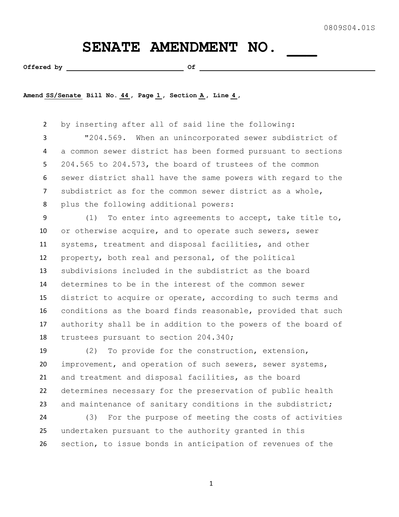## SENATE AMENDMENT NO.

Offered by  $\qquad \qquad$  Of

**Amend SS/Senate Bill No. 44 , Page 1 , Section A , Line 4 ,** 

 by inserting after all of said line the following: "204.569. When an unincorporated sewer subdistrict of a common sewer district has been formed pursuant to sections 204.565 to 204.573, the board of trustees of the common sewer district shall have the same powers with regard to the subdistrict as for the common sewer district as a whole, plus the following additional powers:

 (1) To enter into agreements to accept, take title to, or otherwise acquire, and to operate such sewers, sewer systems, treatment and disposal facilities, and other property, both real and personal, of the political subdivisions included in the subdistrict as the board determines to be in the interest of the common sewer district to acquire or operate, according to such terms and conditions as the board finds reasonable, provided that such authority shall be in addition to the powers of the board of trustees pursuant to section 204.340;

 (2) To provide for the construction, extension, improvement, and operation of such sewers, sewer systems, and treatment and disposal facilities, as the board determines necessary for the preservation of public health and maintenance of sanitary conditions in the subdistrict;

 (3) For the purpose of meeting the costs of activities undertaken pursuant to the authority granted in this section, to issue bonds in anticipation of revenues of the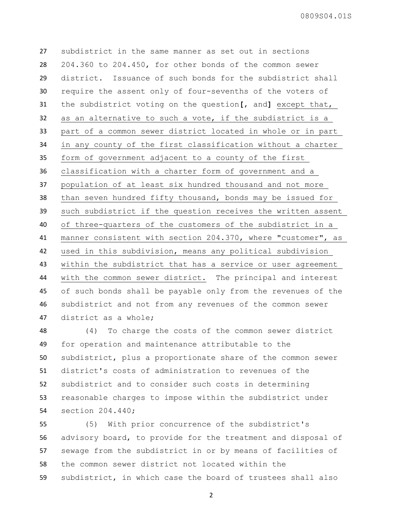0809S04.01S

 subdistrict in the same manner as set out in sections 204.360 to 204.450, for other bonds of the common sewer district. Issuance of such bonds for the subdistrict shall require the assent only of four-sevenths of the voters of the subdistrict voting on the question**[**, and**]** except that, as an alternative to such a vote, if the subdistrict is a part of a common sewer district located in whole or in part in any county of the first classification without a charter form of government adjacent to a county of the first classification with a charter form of government and a population of at least six hundred thousand and not more than seven hundred fifty thousand, bonds may be issued for such subdistrict if the question receives the written assent of three-quarters of the customers of the subdistrict in a manner consistent with section 204.370, where "customer", as used in this subdivision, means any political subdivision within the subdistrict that has a service or user agreement with the common sewer district. The principal and interest of such bonds shall be payable only from the revenues of the subdistrict and not from any revenues of the common sewer district as a whole;

 (4) To charge the costs of the common sewer district for operation and maintenance attributable to the subdistrict, plus a proportionate share of the common sewer district's costs of administration to revenues of the subdistrict and to consider such costs in determining reasonable charges to impose within the subdistrict under section 204.440;

 (5) With prior concurrence of the subdistrict's advisory board, to provide for the treatment and disposal of sewage from the subdistrict in or by means of facilities of the common sewer district not located within the subdistrict, in which case the board of trustees shall also